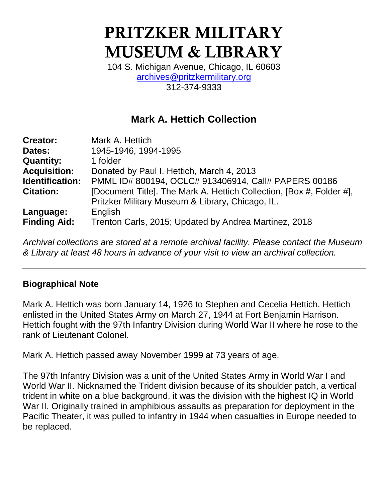# **PRITZKER MILITARY MUSEUM & LIBRARY**

104 S. Michigan Avenue, Chicago, IL 60603 [archives@pritzkermilitary.org](mailto:archives@pritzkermilitary.org) 312-374-9333

# **Mark A. Hettich Collection**

| <b>Creator:</b>     | Mark A. Hettich                                                      |
|---------------------|----------------------------------------------------------------------|
| Dates:              | 1945-1946, 1994-1995                                                 |
| <b>Quantity:</b>    | 1 folder                                                             |
| <b>Acquisition:</b> | Donated by Paul I. Hettich, March 4, 2013                            |
| Identification:     | PMML ID# 800194, OCLC# 913406914, Call# PAPERS 00186                 |
| <b>Citation:</b>    | [Document Title]. The Mark A. Hettich Collection, [Box #, Folder #], |
|                     | Pritzker Military Museum & Library, Chicago, IL.                     |
| Language:           | English                                                              |
| <b>Finding Aid:</b> | Trenton Carls, 2015; Updated by Andrea Martinez, 2018                |

*Archival collections are stored at a remote archival facility. Please contact the Museum & Library at least 48 hours in advance of your visit to view an archival collection.*

# **Biographical Note**

Mark A. Hettich was born January 14, 1926 to Stephen and Cecelia Hettich. Hettich enlisted in the United States Army on March 27, 1944 at Fort Benjamin Harrison. Hettich fought with the 97th Infantry Division during World War II where he rose to the rank of Lieutenant Colonel.

Mark A. Hettich passed away November 1999 at 73 years of age.

The 97th Infantry Division was a unit of the United States Army in World War I and World War II. Nicknamed the Trident division because of its shoulder patch, a vertical trident in white on a blue background, it was the division with the highest IQ in World War II. Originally trained in amphibious assaults as preparation for deployment in the Pacific Theater, it was pulled to infantry in 1944 when casualties in Europe needed to be replaced.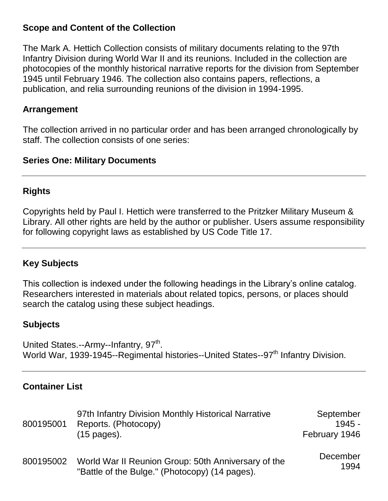### **Scope and Content of the Collection**

The Mark A. Hettich Collection consists of military documents relating to the 97th Infantry Division during World War II and its reunions. Included in the collection are photocopies of the monthly historical narrative reports for the division from September 1945 until February 1946. The collection also contains papers, reflections, a publication, and relia surrounding reunions of the division in 1994-1995.

#### **Arrangement**

The collection arrived in no particular order and has been arranged chronologically by staff. The collection consists of one series:

#### **Series One: Military Documents**

### **Rights**

Copyrights held by Paul I. Hettich were transferred to the Pritzker Military Museum & Library. All other rights are held by the author or publisher. Users assume responsibility for following copyright laws as established by US Code Title 17.

# **Key Subjects**

This collection is indexed under the following headings in the Library's online catalog. Researchers interested in materials about related topics, persons, or places should search the catalog using these subject headings.

# **Subjects**

United States.--Army--Infantry, 97<sup>th</sup>. World War, 1939-1945--Regimental histories--United States--97<sup>th</sup> Infantry Division.

# **Container List**

| 800195001 | 97th Infantry Division Monthly Historical Narrative<br>Reports. (Photocopy)<br>$(15 \text{ pages})$ . | September<br>$1945 -$<br>February 1946 |
|-----------|-------------------------------------------------------------------------------------------------------|----------------------------------------|
| 800195002 | World War II Reunion Group: 50th Anniversary of the<br>"Battle of the Bulge." (Photocopy) (14 pages). | December<br>1994                       |